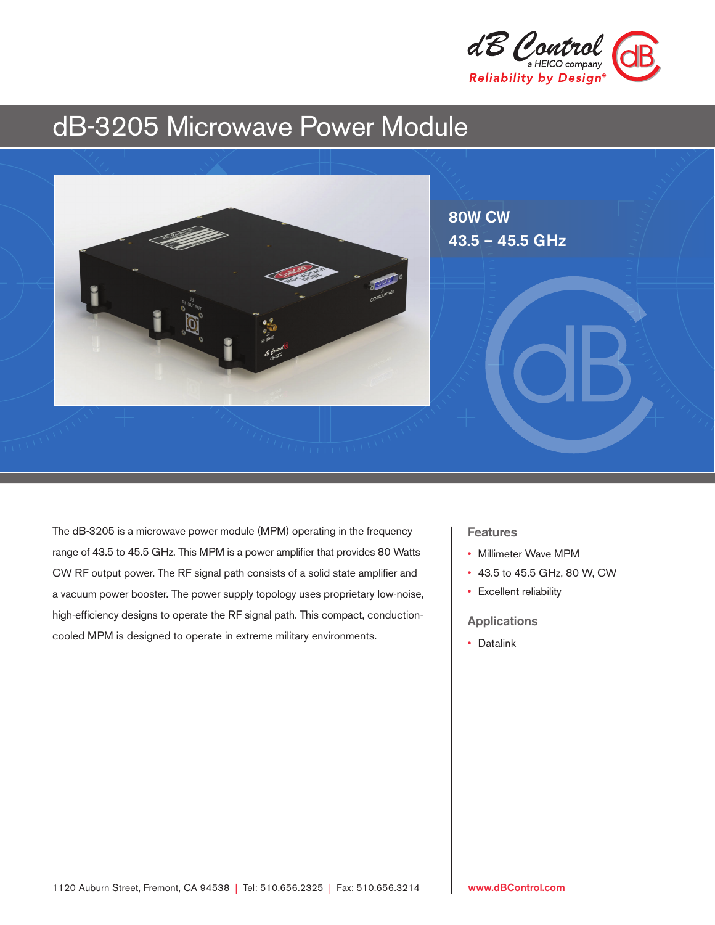

# dB-3205 Microwave Power Module



The dB-3205 is a microwave power module (MPM) operating in the frequency range of 43.5 to 45.5 GHz. This MPM is a power amplifier that provides 80 Watts CW RF output power. The RF signal path consists of a solid state amplifier and a vacuum power booster. The power supply topology uses proprietary low-noise, high-efficiency designs to operate the RF signal path. This compact, conductioncooled MPM is designed to operate in extreme military environments.

## Features

- Millimeter Wave MPM
- 43.5 to 45.5 GHz, 80 W, CW
- Excellent reliability

Applications

• Datalink